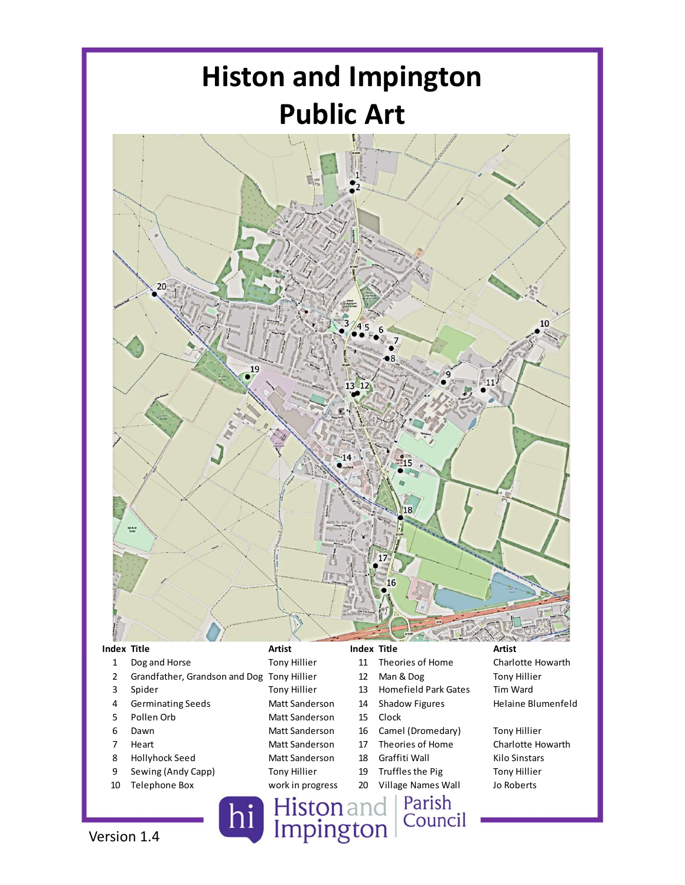

- 
- 
- 
- 
- 
- 
- 
- 
- 
- 

- 
- 
- 
- 
- 
- 
- 
- 
- 
- -
	-
	-
	-
	-
	-
	-
	-
	-
	-

Version 1.4 **Connect Contains Connect Property** Histon and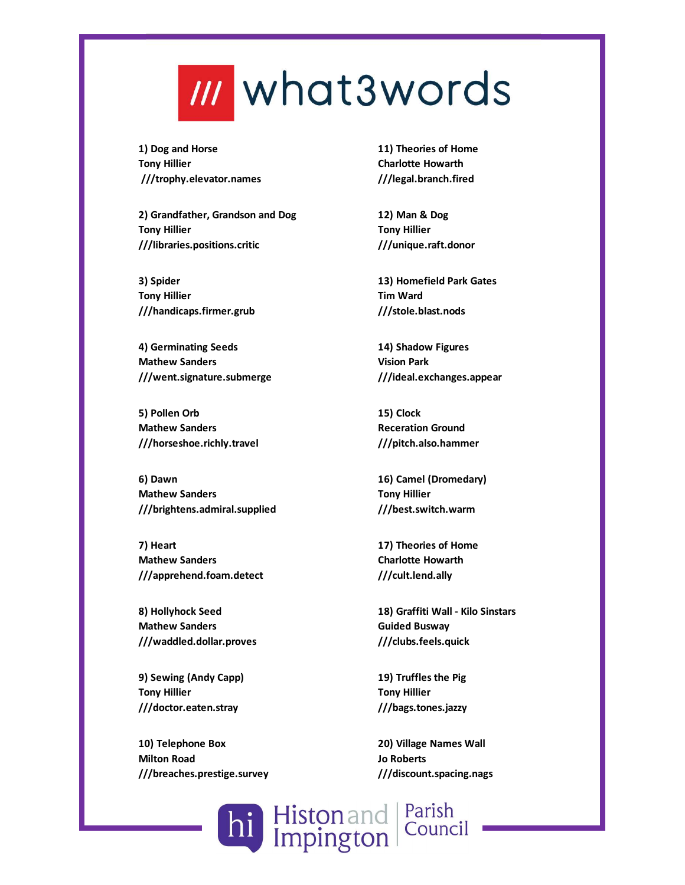## **III** what3words

1) Dog and Horse Tony Hillier ///trophy.elevator.names

2) Grandfather, Grandson and Dog Tony Hillier ///libraries.positions.critic

3) Spider Tony Hillier ///handicaps.firmer.grub

4) Germinating Seeds Mathew Sanders ///went.signature.submerge

5) Pollen Orb Mathew Sanders ///horseshoe.richly.travel

6) Dawn Mathew Sanders ///brightens.admiral.supplied

7) Heart Mathew Sanders ///apprehend.foam.detect

8) Hollyhock Seed Mathew Sanders ///waddled.dollar.proves

9) Sewing (Andy Capp) Tony Hillier ///doctor.eaten.stray

10) Telephone Box Milton Road ///breaches.prestige.survey

11) Theories of Home Charlotte Howarth ///legal.branch.fired

12) Man & Dog Tony Hillier ///unique.raft.donor

13) Homefield Park Gates Tim Ward ///stole.blast.nods

14) Shadow Figures Vision Park ///ideal.exchanges.appear

15) Clock Receration Ground ///pitch.also.hammer

16) Camel (Dromedary) Tony Hillier ///best.switch.warm

17) Theories of Home Charlotte Howarth ///cult.lend.ally

18) Graffiti Wall - Kilo Sinstars Guided Busway ///clubs.feels.quick

19) Truffles the Pig Tony Hillier ///bags.tones.jazzy

20) Village Names Wall Jo Roberts ///discount.spacing.nags

Histon and Parish<br>Impington Council hi